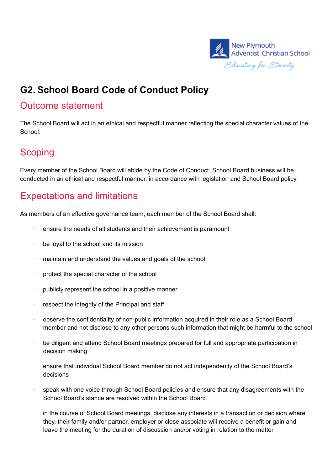

# **G2. School Board Code of Conduct Policy**

#### Outcome statement

The School Board will act in an ethical and respectful manner reflecting the special character values of the School.

## **Scoping**

Every member of the School Board will abide by the Code of Conduct. School Board business will be conducted in an ethical and respectful manner, in accordance with legislation and School Board policy.

# Expectations and limitations

As members of an effective governance team, each member of the School Board shall:

- ensure the needs of all students and their achievement is paramount
- be loval to the school and its mission
- · maintain and understand the values and goals of the school
- · protect the special character of the school
- · publicly represent the school in a positive manner
- respect the integrity of the Principal and staff
- · observe the confidentiality of non-public information acquired in their role as a School Board member and not disclose to any other persons such information that might be harmful to the school
- · be diligent and attend School Board meetings prepared for full and appropriate participation in decision making
- · ensure that individual School Board member do not act independently of the School Board's decisions
- speak with one voice through School Board policies and ensure that any disagreements with the School Board's stance are resolved within the School Board
- in the course of School Board meetings, disclose any interests in a transaction or decision where they, their family and/or partner, employer or close associate will receive a benefit or gain and leave the meeting for the duration of discussion and/or voting in relation to the matter